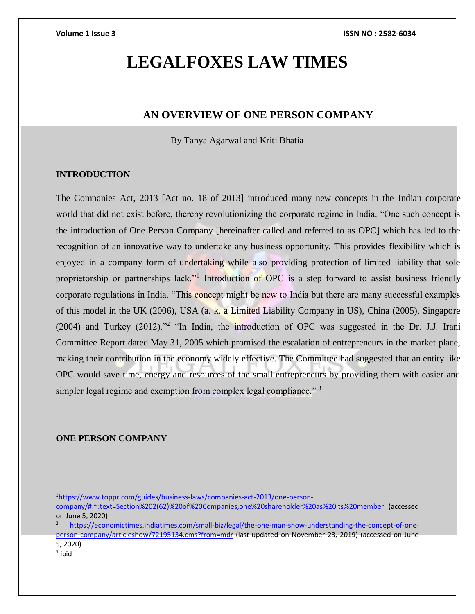# **LEGALFOXES LAW TIMES**

# **AN OVERVIEW OF ONE PERSON COMPANY**

By Tanya Agarwal and Kriti Bhatia

# **INTRODUCTION**

The Companies Act, 2013 [Act no. 18 of 2013] introduced many new concepts in the Indian corporate world that did not exist before, thereby revolutionizing the corporate regime in India. "One such concept is the introduction of One Person Company [hereinafter called and referred to as OPC] which has led to the recognition of an innovative way to undertake any business opportunity. This provides flexibility which is enjoyed in a company form of undertaking while also providing protection of limited liability that sole proprietorship or partnerships lack."<sup>1</sup> Introduction of OPC is a step forward to assist business friendly corporate regulations in India. "This concept might be new to India but there are many successful examples of this model in the UK (2006), USA (a. k. a Limited Liability Company in US), China (2005), Singapore (2004) and Turkey (2012)."<sup>2</sup> "In India, the introduction of OPC was suggested in the Dr. J.J. Irani Committee Report dated May 31, 2005 which promised the escalation of entrepreneurs in the market place, making their contribution in the economy widely effective. The Committee had suggested that an entity like OPC would save time, energy and resources of the small entrepreneurs by providing them with easier and simpler legal regime and exemption from complex legal compliance."<sup>3</sup>

# **ONE PERSON COMPANY**

<sup>3</sup> ibid

<sup>1</sup>[https://www.toppr.com/guides/business-laws/companies-act-2013/one-person-](https://www.toppr.com/guides/business-laws/companies-act-2013/one-person-company/#:~:text=Section%202(62)%20of%20Companies,one%20shareholder%20as%20its%20member.)

[company/#:~:text=Section%202\(62\)%20of%20Companies,one%20shareholder%20as%20its%20member.](https://www.toppr.com/guides/business-laws/companies-act-2013/one-person-company/#:~:text=Section%202(62)%20of%20Companies,one%20shareholder%20as%20its%20member.) (accessed on June 5, 2020)

[https://economictimes.indiatimes.com/small-biz/legal/the-one-man-show-understanding-the-concept-of-one](https://economictimes.indiatimes.com/small-biz/legal/the-one-man-show-understanding-the-concept-of-one-person-company/articleshow/72195134.cms?from=mdr)[person-company/articleshow/72195134.cms?from=mdr](https://economictimes.indiatimes.com/small-biz/legal/the-one-man-show-understanding-the-concept-of-one-person-company/articleshow/72195134.cms?from=mdr) (last updated on November 23, 2019) (accessed on June 5, 2020)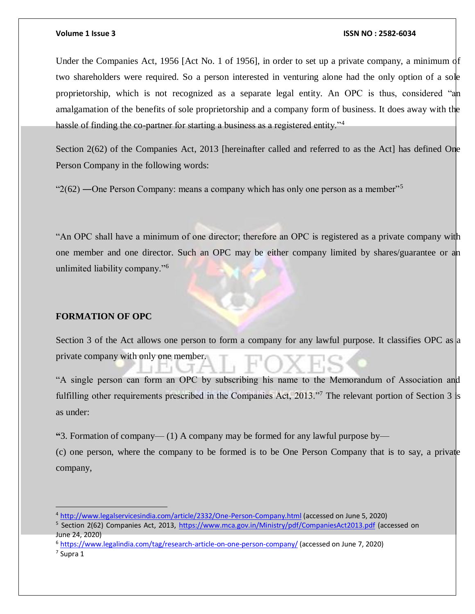Under the Companies Act, 1956 [Act No. 1 of 1956], in order to set up a private company, a minimum of two shareholders were required. So a person interested in venturing alone had the only option of a sole proprietorship, which is not recognized as a separate legal entity. An OPC is thus, considered "an amalgamation of the benefits of sole proprietorship and a company form of business. It does away with the hassle of finding the co-partner for starting a business as a registered entity."<sup>4</sup>

Section 2(62) of the Companies Act, 2013 [hereinafter called and referred to as the Act] has defined One Person Company in the following words:

" $2(62)$  —One Person Company: means a company which has only one person as a member"<sup>5</sup>

"An OPC shall have a minimum of one director; therefore an OPC is registered as a private company with one member and one director. Such an OPC may be either company limited by shares/guarantee or an unlimited liability company."<sup>6</sup>

### **FORMATION OF OPC**

Section 3 of the Act allows one person to form a company for any lawful purpose. It classifies OPC as a private company with only one member.

"A single person can form an OPC by subscribing his name to the Memorandum of Association and fulfilling other requirements prescribed in the Companies Act, 2013."<sup>7</sup> The relevant portion of Section 3 is as under:

**"**3. Formation of company— (1) A company may be formed for any lawful purpose by—

(c) one person, where the company to be formed is to be One Person Company that is to say, a private company,

<sup>5</sup> Section 2(62) Companies Act, 2013,<https://www.mca.gov.in/Ministry/pdf/CompaniesAct2013.pdf> (accessed on June 24, 2020)

 $\overline{a}$ 

<sup>4</sup> <http://www.legalservicesindia.com/article/2332/One-Person-Company.html> (accessed on June 5, 2020)

<sup>6</sup> <https://www.legalindia.com/tag/research-article-on-one-person-company/> (accessed on June 7, 2020)

<sup>7</sup> Supra 1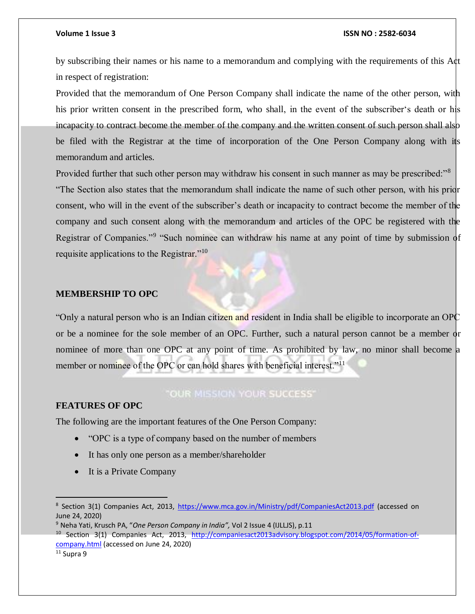by subscribing their names or his name to a memorandum and complying with the requirements of this Act in respect of registration:

Provided that the memorandum of One Person Company shall indicate the name of the other person, with his prior written consent in the prescribed form, who shall, in the event of the subscriber's death or his incapacity to contract become the member of the company and the written consent of such person shall also be filed with the Registrar at the time of incorporation of the One Person Company along with its memorandum and articles.

Provided further that such other person may withdraw his consent in such manner as may be prescribed:"<sup>8</sup> "The Section also states that the memorandum shall indicate the name of such other person, with his prior consent, who will in the event of the subscriber's death or incapacity to contract become the member of the company and such consent along with the memorandum and articles of the OPC be registered with the Registrar of Companies."<sup>9</sup> "Such nominee can withdraw his name at any point of time by submission of requisite applications to the Registrar."<sup>10</sup>

# **MEMBERSHIP TO OPC**

"Only a natural person who is an Indian citizen and resident in India shall be eligible to incorporate an OPC or be a nominee for the sole member of an OPC. Further, such a natural person cannot be a member or nominee of more than one OPC at any point of time. As prohibited by law, no minor shall become a member or nominee of the OPC or can hold shares with beneficial interest."<sup>11</sup>

# **"OUR MISSION YOUR SUCCESS"**

# **FEATURES OF OPC**

The following are the important features of the One Person Company:

- "OPC is a type of company based on the number of members
- It has only one person as a member/shareholder
- It is a Private Company

 $\overline{a}$ 

<sup>&</sup>lt;sup>8</sup> Section 3(1) Companies Act, 2013,<https://www.mca.gov.in/Ministry/pdf/CompaniesAct2013.pdf> (accessed on June 24, 2020)

<sup>9</sup> Neha Yati, Krusch PA, "*One Person Company in India",* Vol 2 Issue 4 (IJLLJS), p.11

<sup>10</sup> Section 3(1) Companies Act, 2013, [http://companiesact2013advisory.blogspot.com/2014/05/formation-of](http://companiesact2013advisory.blogspot.com/2014/05/formation-of-company.html)[company.html](http://companiesact2013advisory.blogspot.com/2014/05/formation-of-company.html) (accessed on June 24, 2020)

 $11$  Supra 9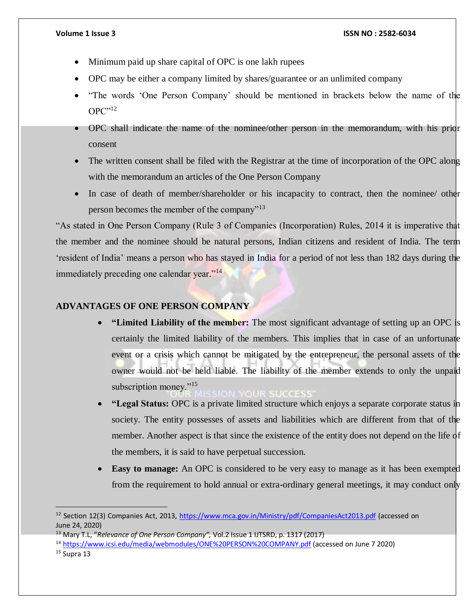- Minimum paid up share capital of OPC is one lakh rupees
- OPC may be either a company limited by shares/guarantee or an unlimited company
- "The words 'One Person Company' should be mentioned in brackets below the name of the OPC"12
- OPC shall indicate the name of the nominee/other person in the memorandum, with his prior consent
- The written consent shall be filed with the Registrar at the time of incorporation of the OPC along with the memorandum an articles of the One Person Company
- In case of death of member/shareholder or his incapacity to contract, then the nominee/ other person becomes the member of the company"<sup>13</sup>

"As stated in One Person Company (Rule 3 of Companies (Incorporation) Rules, 2014 it is imperative that the member and the nominee should be natural persons, Indian citizens and resident of India. The term 'resident of India' means a person who has stayed in India for a period of not less than 182 days during the immediately preceding one calendar year."<sup>14</sup>

# **ADVANTAGES OF ONE PERSON COMPANY**

- **"Limited Liability of the member:** The most significant advantage of setting up an OPC is certainly the limited liability of the members. This implies that in case of an unfortunate event or a crisis which cannot be mitigated by the entrepreneur, the personal assets of the owner would not be held liable. The liability of the member extends to only the unpaid subscription money."<sup>15</sup>
- **"Legal Status:** OPC is a private limited structure which enjoys a separate corporate status in society. The entity possesses of assets and liabilities which are different from that of the member. Another aspect is that since the existence of the entity does not depend on the life of the members, it is said to have perpetual succession.
- **Easy to manage:** An OPC is considered to be very easy to manage as it has been exempted from the requirement to hold annual or extra-ordinary general meetings, it may conduct only

 $\overline{a}$ 

<sup>&</sup>lt;sup>12</sup> Section 12(3) Companies Act, 2013,<https://www.mca.gov.in/Ministry/pdf/CompaniesAct2013.pdf> (accessed on June 24, 2020)

<sup>13</sup> Mary T.L, "*Relevance of One Person Company",* Vol.2 Issue 1 IJTSRD, p. 1317 (2017)

<sup>14</sup> <https://www.icsi.edu/media/webmodules/ONE%20PERSON%20COMPANY.pdf> (accessed on June 7 2020)

 $15$  Supra 13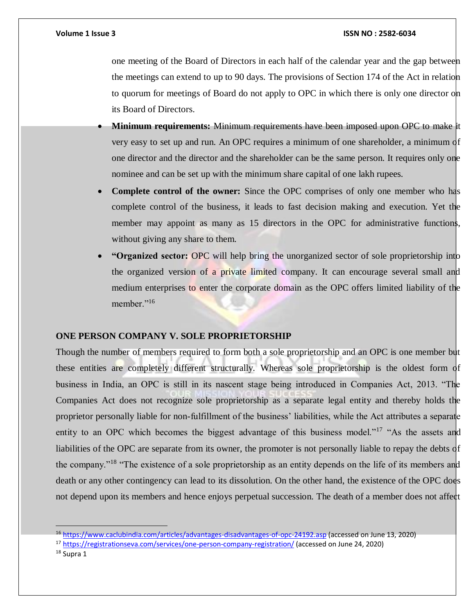one meeting of the Board of Directors in each half of the calendar year and the gap between the meetings can extend to up to 90 days. The provisions of Section 174 of the Act in relation to quorum for meetings of Board do not apply to OPC in which there is only one director on its Board of Directors.

- **Minimum requirements:** Minimum requirements have been imposed upon OPC to make it very easy to set up and run. An OPC requires a minimum of one shareholder, a minimum of one director and the director and the shareholder can be the same person. It requires only one nominee and can be set up with the minimum share capital of one lakh rupees.
- **Complete control of the owner:** Since the OPC comprises of only one member who has complete control of the business, it leads to fast decision making and execution. Yet the member may appoint as many as 15 directors in the OPC for administrative functions, without giving any share to them.
- **"Organized sector:** OPC will help bring the unorganized sector of sole proprietorship into the organized version of a private limited company. It can encourage several small and medium enterprises to enter the corporate domain as the OPC offers limited liability of the member."<sup>16</sup>

# **ONE PERSON COMPANY V. SOLE PROPRIETORSHIP**

Though the number of members required to form both a sole proprietorship and an OPC is one member but these entities are completely different structurally. Whereas sole proprietorship is the oldest form of business in India, an OPC is still in its nascent stage being introduced in Companies Act, 2013. "The Companies Act does not recognize sole proprietorship as a separate legal entity and thereby holds the proprietor personally liable for non-fulfillment of the business' liabilities, while the Act attributes a separate entity to an OPC which becomes the biggest advantage of this business model."<sup>17</sup> "As the assets and liabilities of the OPC are separate from its owner, the promoter is not personally liable to repay the debts of the company."<sup>18</sup> "The existence of a sole proprietorship as an entity depends on the life of its members and death or any other contingency can lead to its dissolution. On the other hand, the existence of the OPC does not depend upon its members and hence enjoys perpetual succession. The death of a member does not affect

<sup>&</sup>lt;sup>16</sup> <https://www.caclubindia.com/articles/advantages-disadvantages-of-opc-24192.asp> (accessed on June 13, 2020)

<sup>17</sup> <https://registrationseva.com/services/one-person-company-registration/> (accessed on June 24, 2020)

<sup>&</sup>lt;sup>18</sup> Supra 1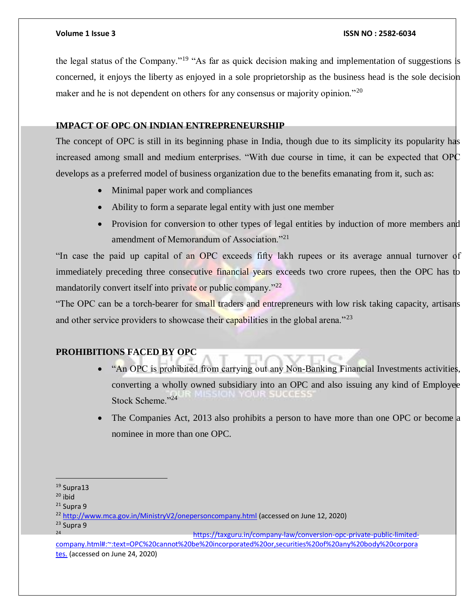the legal status of the Company."<sup>19</sup> "As far as quick decision making and implementation of suggestions is concerned, it enjoys the liberty as enjoyed in a sole proprietorship as the business head is the sole decision maker and he is not dependent on others for any consensus or majority opinion."<sup>20</sup>

# **IMPACT OF OPC ON INDIAN ENTREPRENEURSHIP**

The concept of OPC is still in its beginning phase in India, though due to its simplicity its popularity has increased among small and medium enterprises. "With due course in time, it can be expected that OPC develops as a preferred model of business organization due to the benefits emanating from it, such as:

- Minimal paper work and compliances
- Ability to form a separate legal entity with just one member
- Provision for conversion to other types of legal entities by induction of more members and amendment of Memorandum of Association."<sup>21</sup>

"In case the paid up capital of an OPC exceeds fifty lakh rupees or its average annual turnover of immediately preceding three consecutive financial years exceeds two crore rupees, then the OPC has to mandatorily convert itself into private or public company."<sup>22</sup>

"The OPC can be a torch-bearer for small traders and entrepreneurs with low risk taking capacity, artisans and other service providers to showcase their capabilities in the global arena."<sup>23</sup>

# **PROHIBITIONS FACED BY OPC**

- "An OPC is prohibited from carrying out any Non-Banking Financial Investments activities, converting a wholly owned subsidiary into an OPC and also issuing any kind of Employee Stock Scheme."<sup>24</sup>
- The Companies Act, 2013 also prohibits a person to have more than one OPC or become a nominee in more than one OPC.

 $\overline{a}$ <sup>19</sup> Supra13

 $20$  ibid

 $21$  Supra 9

<sup>&</sup>lt;sup>22</sup> <http://www.mca.gov.in/MinistryV2/onepersoncompany.html> (accessed on June 12, 2020)

<sup>&</sup>lt;sup>23</sup> Supra 9

[https://taxguru.in/company-law/conversion-opc-private-public-limited](https://taxguru.in/company-law/conversion-opc-private-public-limited-company.html#:~:text=OPC%20cannot%20be%20incorporated%20or,securities%20of%20any%20body%20corporates.)[company.html#:~:text=OPC%20cannot%20be%20incorporated%20or,securities%20of%20any%20body%20corpora](https://taxguru.in/company-law/conversion-opc-private-public-limited-company.html#:~:text=OPC%20cannot%20be%20incorporated%20or,securities%20of%20any%20body%20corporates.) [tes.](https://taxguru.in/company-law/conversion-opc-private-public-limited-company.html#:~:text=OPC%20cannot%20be%20incorporated%20or,securities%20of%20any%20body%20corporates.) (accessed on June 24, 2020)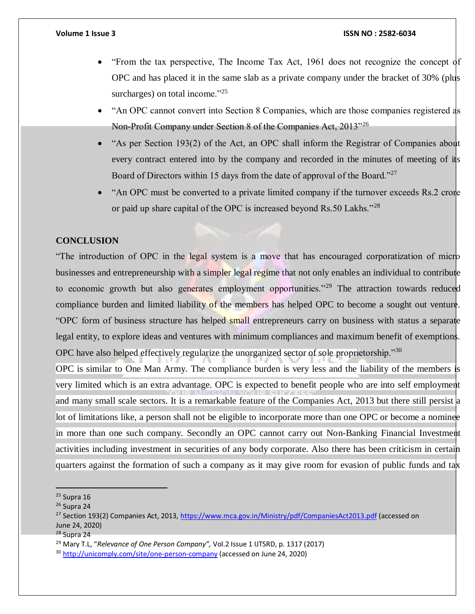- $\bullet$  "From the tax perspective, The Income Tax Act, 1961 does not recognize the concept of OPC and has placed it in the same slab as a private company under the bracket of 30% (plus surcharges) on total income." $^{25}$
- "An OPC cannot convert into Section 8 Companies, which are those companies registered as Non-Profit Company under Section 8 of the Companies Act,  $2013^{326}$
- "As per Section 193(2) of the Act, an OPC shall inform the Registrar of Companies about every contract entered into by the company and recorded in the minutes of meeting of its Board of Directors within 15 days from the date of approval of the Board."<sup>27</sup>
- "An OPC must be converted to a private limited company if the turnover exceeds Rs.2 crore or paid up share capital of the OPC is increased beyond Rs.50 Lakhs."<sup>28</sup>

# **CONCLUSION**

"The introduction of OPC in the legal system is a move that has encouraged corporatization of micro businesses and entrepreneurship with a simpler legal regime that not only enables an individual to contribute to economic growth but also generates employment opportunities."<sup>29</sup> The attraction towards reduced compliance burden and limited liability of the members has helped OPC to become a sought out venture. "OPC form of business structure has helped small entrepreneurs carry on business with status a separate legal entity, to explore ideas and ventures with minimum compliances and maximum benefit of exemptions. OPC have also helped effectively regularize the unorganized sector of sole proprietorship."<sup>30</sup>

OPC is similar to One Man Army. The compliance burden is very less and the liability of the members is very limited which is an extra advantage. OPC is expected to benefit people who are into self employment and many small scale sectors. It is a remarkable feature of the Companies Act, 2013 but there still persist a lot of limitations like, a person shall not be eligible to incorporate more than one OPC or become a nomine in more than one such company. Secondly an OPC cannot carry out Non-Banking Financial Investment activities including investment in securities of any body corporate. Also there has been criticism in certain quarters against the formation of such a company as it may give room for evasion of public funds and tax

 $25$  Supra 16

 $26$  Supra 24

<sup>&</sup>lt;sup>27</sup> Section 193(2) Companies Act, 2013[, https://www.mca.gov.in/Ministry/pdf/CompaniesAct2013.pdf](https://www.mca.gov.in/Ministry/pdf/CompaniesAct2013.pdf) (accessed on June 24, 2020)

<sup>28</sup> Supra 24

<sup>29</sup> Mary T.L, "*Relevance of One Person Company",* Vol.2 Issue 1 IJTSRD, p. 1317 (2017)

<sup>&</sup>lt;sup>30</sup> <http://unicomply.com/site/one-person-company> (accessed on June 24, 2020)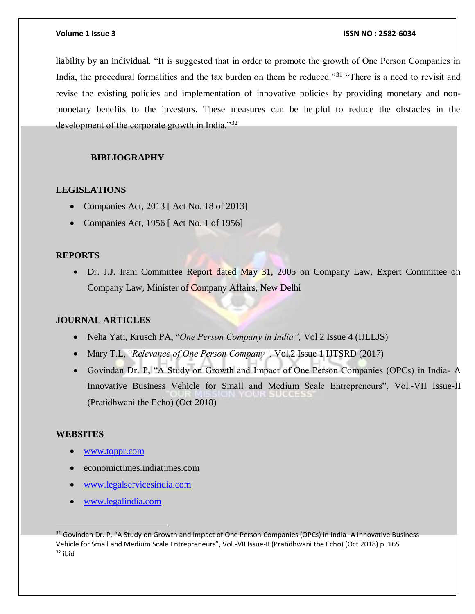liability by an individual. "It is suggested that in order to promote the growth of One Person Companies in India, the procedural formalities and the tax burden on them be reduced."<sup>31</sup> "There is a need to revisit and revise the existing policies and implementation of innovative policies by providing monetary and nonmonetary benefits to the investors. These measures can be helpful to reduce the obstacles in the development of the corporate growth in India."32

# **BIBLIOGRAPHY**

# **LEGISLATIONS**

- Companies Act, 2013 [ Act No. 18 of 2013]
- Companies Act, 1956 [ Act No. 1 of 1956]

## **REPORTS**

• Dr. J.J. Irani Committee Report dated May 31, 2005 on Company Law, Expert Committee on Company Law, Minister of Company Affairs, New Delhi

# **JOURNAL ARTICLES**

- Neha Yati, Krusch PA, "*One Person Company in India*", Vol 2 Issue 4 (IJLLJS)
- Mary T.L, "*Relevance of One Person Company*", Vol.2 Issue 1 IJTSRD (2017)
- Govindan Dr. P, "A Study on Growth and Impact of One Person Companies (OPCs) in India- A Innovative Business Vehicle for Small and Medium Scale Entrepreneurs", Vol.-VII Issue-II (Pratidhwani the Echo) (Oct 2018)

### **WEBSITES**

- [www.toppr.com](http://www.toppr.com/)
- economictimes.indiatimes.com
- [www.legalservicesindia.com](http://www.legalservicesindia.com/)
- [www.legalindia.com](http://www.legalindia.com/)

<sup>&</sup>lt;sup>31</sup> Govindan Dr. P, "A Study on Growth and Impact of One Person Companies (OPCs) in India-A Innovative Business Vehicle for Small and Medium Scale Entrepreneurs", Vol.-VII Issue-II (Pratidhwani the Echo) (Oct 2018) p. 165  $32$  ibid